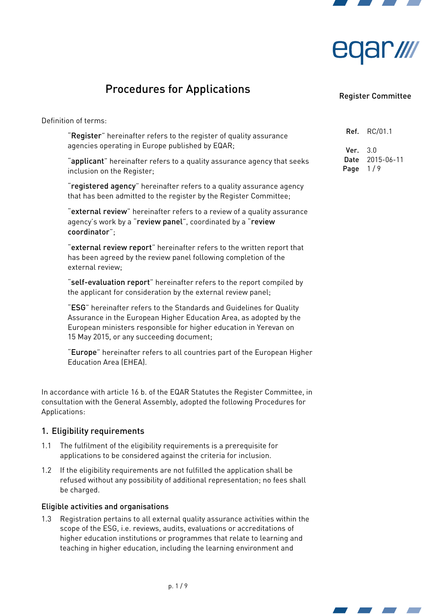



# Procedures for Applications

### Register Committee

Definition of terms:

"Register" hereinafter refers to the register of quality assurance agencies operating in Europe published by EQAR;

"applicant" hereinafter refers to a quality assurance agency that seeks inclusion on the Register;

"registered agency" hereinafter refers to a quality assurance agency that has been admitted to the register by the Register Committee;

"external review" hereinafter refers to a review of a quality assurance agency's work by a "review panel", coordinated by a "review coordinator";

"external review report" hereinafter refers to the written report that has been agreed by the review panel following completion of the external review;

"self-evaluation report" hereinafter refers to the report compiled by the applicant for consideration by the external review panel;

"ESG" hereinafter refers to the Standards and Guidelines for Quality Assurance in the European Higher Education Area, as adopted by the European ministers responsible for higher education in Yerevan on 15 May 2015, or any succeeding document;

"Europe" hereinafter refers to all countries part of the European Higher Education Area (EHEA).

In accordance with article 16 b. of the EQAR Statutes the Register Committee, in consultation with the General Assembly, adopted the following Procedures for Applications:

### 1. Eligibility requirements

- 1.1 The fulfilment of the eligibility requirements is a prerequisite for applications to be considered against the criteria for inclusion.
- 1.2 If the eligibility requirements are not fulfilled the application shall be refused without any possibility of additional representation; no fees shall be charged.

### Eligible activities and organisations

<span id="page-0-0"></span>1.3 Registration pertains to all external quality assurance activities within the scope of the ESG, i.e. reviews, audits, evaluations or accreditations of higher education institutions or programmes that relate to learning and teaching in higher education, including the learning environment and

# Ref. RC/01.1  $Ver. 3.0$ Date 2015-06-11 Page  $1/9$



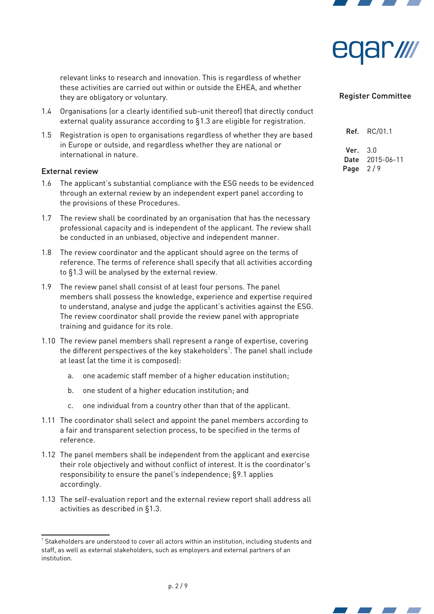



relevant links to research and innovation. This is regardless of whether these activities are carried out within or outside the EHEA, and whether they are obligatory or voluntary.

- 1.4 Organisations (or a clearly identified sub-unit thereof) that directly conduct external quality assurance according to [§1.3](#page-0-0) are eligible for registration.
- 1.5 Registration is open to organisations regardless of whether they are based in Europe or outside, and regardless whether they are national or international in nature.

#### External review

- <span id="page-1-1"></span>1.6 The applicant's substantial compliance with the ESG needs to be evidenced through an external review by an independent expert panel according to the provisions of these Procedures.
- 1.7 The review shall be coordinated by an organisation that has the necessary professional capacity and is independent of the applicant. The review shall be conducted in an unbiased, objective and independent manner.
- <span id="page-1-2"></span>1.8 The review coordinator and the applicant should agree on the terms of reference. The terms of reference shall specify that all activities according to [§1.3](#page-0-0) will be analysed by the external review.
- 1.9 The review panel shall consist of at least four persons. The panel members shall possess the knowledge, experience and expertise required to understand, analyse and judge the applicant's activities against the ESG. The review coordinator shall provide the review panel with appropriate training and guidance for its role.
- 1.10 The review panel members shall represent a range of expertise, covering the different perspectives of the key stakeholders $^{\rm 1}.$  $^{\rm 1}.$  $^{\rm 1}.$  The panel shall include at least (at the time it is composed):
	- a. one academic staff member of a higher education institution;
	- b. one student of a higher education institution; and
	- c. one individual from a country other than that of the applicant.
- 1.11 The coordinator shall select and appoint the panel members according to a fair and transparent selection process, to be specified in the terms of reference.
- 1.12 The panel members shall be independent from the applicant and exercise their role objectively and without conflict of interest. It is the coordinator's responsibility to ensure the panel's independence; [§9.1](#page-7-0) applies accordingly.
- 1.13 The self-evaluation report and the external review report shall address all activities as described in [§1.3.](#page-0-0)

| Ref. | RC/01.1    |
|------|------------|
| Ver. | 3.0        |
| Date | 2015-06-11 |
| Page | 2/9        |



<span id="page-1-0"></span> $^1$  Stakeholders are understood to cover all actors within an institution, including students and staff, as well as external stakeholders, such as employers and external partners of an institution.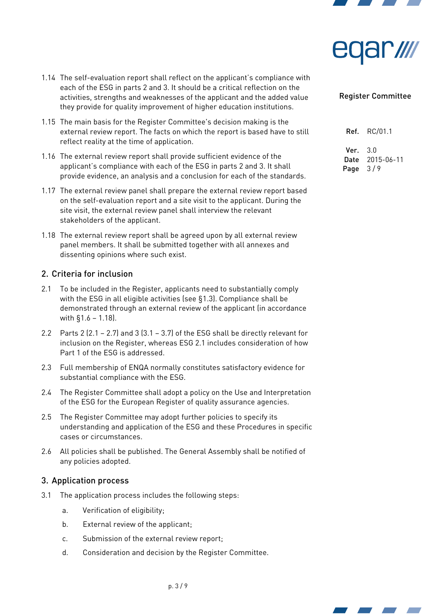



- 1.14 The self-evaluation report shall reflect on the applicant's compliance with each of the ESG in parts 2 and 3. It should be a critical reflection on the activities, strengths and weaknesses of the applicant and the added value they provide for quality improvement of higher education institutions.
- 1.15 The main basis for the Register Committee's decision making is the external review report. The facts on which the report is based have to still reflect reality at the time of application.
- 1.16 The external review report shall provide sufficient evidence of the applicant's compliance with each of the ESG in parts 2 and 3. It shall provide evidence, an analysis and a conclusion for each of the standards.
- 1.17 The external review panel shall prepare the external review report based on the self-evaluation report and a site visit to the applicant. During the site visit, the external review panel shall interview the relevant stakeholders of the applicant.
- <span id="page-2-0"></span>1.18 The external review report shall be agreed upon by all external review panel members. It shall be submitted together with all annexes and dissenting opinions where such exist.

# 2. Criteria for inclusion

- 2.1 To be included in the Register, applicants need to substantially comply with the ESG in all eligible activities (see [§1.3\)](#page-0-0). Compliance shall be demonstrated through an external review of the applicant (in accordance with [§1.6](#page-1-1) – [1.18\)](#page-2-0).
- 2.2 Parts 2  $(2.1 2.7)$  and 3  $(3.1 3.7)$  of the ESG shall be directly relevant for inclusion on the Register, whereas ESG 2.1 includes consideration of how Part 1 of the ESG is addressed.
- 2.3 Full membership of ENQA normally constitutes satisfactory evidence for substantial compliance with the ESG.
- 2.4 The Register Committee shall adopt a policy on the Use and Interpretation of the ESG for the European Register of quality assurance agencies.
- 2.5 The Register Committee may adopt further policies to specify its understanding and application of the ESG and these Procedures in specific cases or circumstances.
- 2.6 All policies shall be published. The General Assembly shall be notified of any policies adopted.

### 3. Application process

- <span id="page-2-1"></span>3.1 The application process includes the following steps:
	- a. Verification of eligibility;
	- b. External review of the applicant;
	- c. Submission of the external review report;
	- d. Consideration and decision by the Register Committee.

| Ref. | RC/01.1    |
|------|------------|
| Ver. | 3.0        |
| Date | 2015-06-11 |
| Page | 319        |



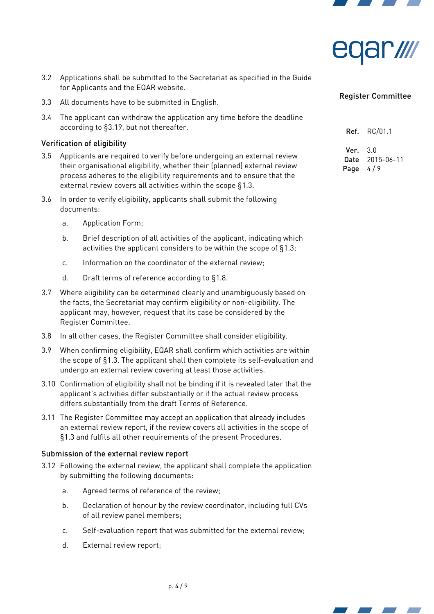



- 3.2 Applications shall be submitted to the Secretariat as specified in the Guide for Applicants and the EQAR website.
- 3.3 All documents have to be submitted in English.
- 3.4 The applicant can withdraw the application any time before the deadline according to [§3.19,](#page-4-0) but not thereafter.

### Verification of eligibility

- 3.5 Applicants are required to verify before undergoing an external review their organisational eligibility, whether their (planned) external review process adheres to the eligibility requirements and to ensure that the external review covers all activities within the scope [§1.3.](#page-0-0)
- 3.6 In order to verify eligibility, applicants shall submit the following documents:
	- a. Application Form;
	- b. Brief description of all activities of the applicant, indicating which activities the applicant considers to be within the scope of [§1.3;](#page-0-0)
	- c. Information on the coordinator of the external review;
	- d. Draft terms of reference according to [§1.8.](#page-1-2)
- 3.7 Where eligibility can be determined clearly and unambiguously based on the facts, the Secretariat may confirm eligibility or non-eligibility. The applicant may, however, request that its case be considered by the Register Committee.
- 3.8 In all other cases, the Register Committee shall consider eligibility.
- 3.9 When confirming eligibility, EQAR shall confirm which activities are within the scope of [§1.3.](#page-0-0) The applicant shall then complete its self-evaluation and undergo an external review covering at least those activities.
- 3.10 Confirmation of eligibility shall not be binding if it is revealed later that the applicant's activities differ substantially or if the actual review process differs substantially from the draft Terms of Reference.
- 3.11 The Register Committee may accept an application that already includes an external review report, if the review covers all activities in the scope of [§1.3](#page-0-0) and fulfils all other requirements of the present Procedures.

#### Submission of the external review report

- 3.12 Following the external review, the applicant shall complete the application by submitting the following documents:
	- a. Agreed terms of reference of the review;
	- b. Declaration of honour by the review coordinator, including full CVs of all review panel members;
	- c. Self-evaluation report that was submitted for the external review;
	- d. External review report;

#### Register Committee

Ref. RC/01.1

 $Var<sub>30</sub>$ Date 2015-06-11 Page  $4/9$ 



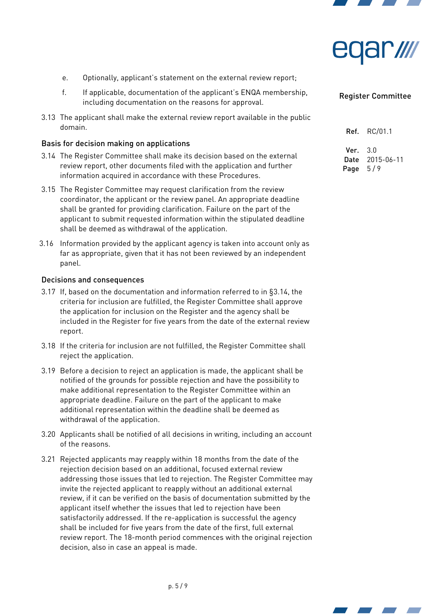



- e. Optionally, applicant's statement on the external review report;
- f. If applicable, documentation of the applicant's ENQA membership, including documentation on the reasons for approval.
- 3.13 The applicant shall make the external review report available in the public domain.

### Basis for decision making on applications

- <span id="page-4-1"></span>3.14 The Register Committee shall make its decision based on the external review report, other documents filed with the application and further information acquired in accordance with these Procedures.
- <span id="page-4-3"></span>3.15 The Register Committee may request clarification from the review coordinator, the applicant or the review panel. An appropriate deadline shall be granted for providing clarification. Failure on the part of the applicant to submit requested information within the stipulated deadline shall be deemed as withdrawal of the application.
- 3.16 Information provided by the applicant agency is taken into account only as far as appropriate, given that it has not been reviewed by an independent panel.

### Decisions and consequences

- 3.17 If, based on the documentation and information referred to in [§3.14,](#page-4-1) the criteria for inclusion are fulfilled, the Register Committee shall approve the application for inclusion on the Register and the agency shall be included in the Register for five years from the date of the external review report.
- 3.18 If the criteria for inclusion are not fulfilled, the Register Committee shall reject the application.
- <span id="page-4-0"></span>3.19 Before a decision to reject an application is made, the applicant shall be notified of the grounds for possible rejection and have the possibility to make additional representation to the Register Committee within an appropriate deadline. Failure on the part of the applicant to make additional representation within the deadline shall be deemed as withdrawal of the application.
- 3.20 Applicants shall be notified of all decisions in writing, including an account of the reasons.
- <span id="page-4-2"></span>3.21 Rejected applicants may reapply within 18 months from the date of the rejection decision based on an additional, focused external review addressing those issues that led to rejection. The Register Committee may invite the rejected applicant to reapply without an additional external review, if it can be verified on the basis of documentation submitted by the applicant itself whether the issues that led to rejection have been satisfactorily addressed. If the re-application is successful the agency shall be included for five years from the date of the first, full external review report. The 18-month period commences with the original rejection decision, also in case an appeal is made.

### Register Committee

Ref. RC/01.1

 $Var<sub>30</sub>$ Date 2015-06-11 Page  $5/9$ 



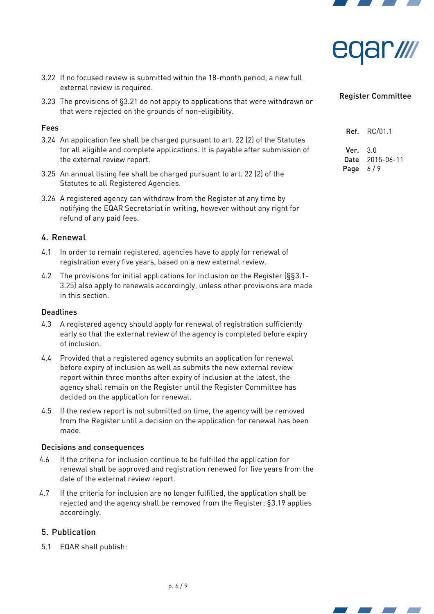



- 3.22 If no focused review is submitted within the 18-month period, a new full external review is required.
- 3.23 The provisions of [§3.21](#page-4-2) do not apply to applications that were withdrawn or that were rejected on the grounds of non-eligibility.

### Fees

- 3.24 An application fee shall be charged pursuant to art. 22 (2) of the Statutes for all eligible and complete applications. It is payable after submission of the external review report.
- <span id="page-5-0"></span>3.25 An annual listing fee shall be charged pursuant to art. 22 (2) of the Statutes to all Registered Agencies.
- 3.26 A registered agency can withdraw from the Register at any time by notifying the EQAR Secretariat in writing, however without any right for refund of any paid fees.

### 4. Renewal

- 4.1 In order to remain registered, agencies have to apply for renewal of registration every five years, based on a new external review.
- 4.2 The provisions for initial applications for inclusion on the Register (§[§3.1](#page-2-1)[-](#page-5-0) [3.25\)](#page-5-0) also apply to renewals accordingly, unless other provisions are made in this section.

#### **Deadlines**

- 4.3 A registered agency should apply for renewal of registration sufficiently early so that the external review of the agency is completed before expiry of inclusion.
- 4.4 Provided that a registered agency submits an application for renewal before expiry of inclusion as well as submits the new external review report within three months after expiry of inclusion at the latest, the agency shall remain on the Register until the Register Committee has decided on the application for renewal.
- 4.5 If the review report is not submitted on time, the agency will be removed from the Register until a decision on the application for renewal has been made.

### Decisions and consequences

- 4.6 If the criteria for inclusion continue to be fulfilled the application for renewal shall be approved and registration renewed for five years from the date of the external review report.
- 4.7 If the criteria for inclusion are no longer fulfilled, the application shall be rejected and the agency shall be removed from the Register; [§3.19](#page-4-0) applies accordingly.

### 5. Publication

<span id="page-5-1"></span>5.1 EQAR shall publish:

|        | <b>Ref.</b> RC/01.1 |
|--------|---------------------|
| Ver. I | 3.0                 |
| Date   | 2015-06-11          |
| Page   | 6/9                 |



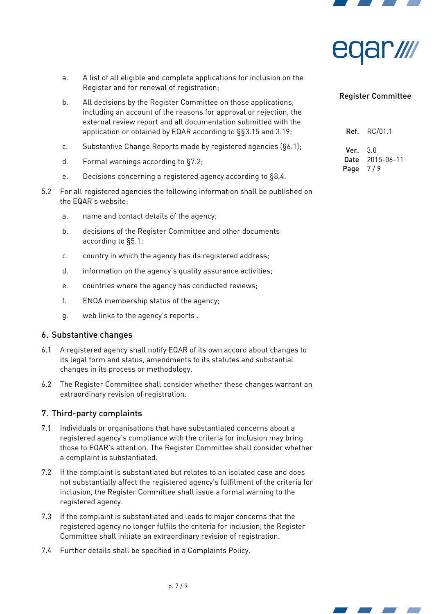



- a. A list of all eligible and complete applications for inclusion on the Register and for renewal of registration;
- b. All decisions by the Register Committee on those applications, including an account of the reasons for approval or rejection, the external review report and all documentation submitted with the application or obtained by EQAR according to §[§3.15](#page-4-3) and [3.19;](#page-4-0)
- c. Substantive Change Reports made by registered agencies ([§6.1\)](#page-6-1);
- d. Formal warnings according to [§7.2;](#page-6-0)
- e. Decisions concerning a registered agency according to [§8.4.](#page-7-1)
- 5.2 For all registered agencies the following information shall be published on the EQAR's website:
	- a. name and contact details of the agency;
	- b. decisions of the Register Committee and other documents according to [§5.1;](#page-5-1)
	- c. country in which the agency has its registered address;
	- d. information on the agency's quality assurance activities;
	- e. countries where the agency has conducted reviews;
	- f. ENQA membership status of the agency;
	- g. web links to the agency's reports .

### 6. Substantive changes

- <span id="page-6-1"></span>6.1 A registered agency shall notify EQAR of its own accord about changes to its legal form and status, amendments to its statutes and substantial changes in its process or methodology.
- 6.2 The Register Committee shall consider whether these changes warrant an extraordinary revision of registration.

### 7. Third-party complaints

- 7.1 Individuals or organisations that have substantiated concerns about a registered agency's compliance with the criteria for inclusion may bring those to EQAR's attention. The Register Committee shall consider whether a complaint is substantiated.
- <span id="page-6-0"></span>7.2 If the complaint is substantiated but relates to an isolated case and does not substantially affect the registered agency's fulfilment of the criteria for inclusion, the Register Committee shall issue a formal warning to the registered agency.
- 7.3 If the complaint is substantiated and leads to major concerns that the registered agency no longer fulfils the criteria for inclusion, the Register Committee shall initiate an extraordinary revision of registration.
- 7.4 Further details shall be specified in a Complaints Policy.

| Ref. | RC/01.1    |
|------|------------|
| Ver. | 3.0        |
| Date | 2015-06-11 |
| Page | 7/9        |



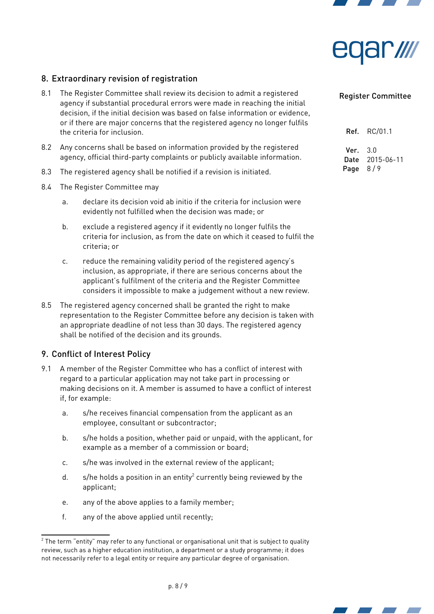



# 8. Extraordinary revision of registration

- 8.1 The Register Committee shall review its decision to admit a registered agency if substantial procedural errors were made in reaching the initial decision, if the initial decision was based on false information or evidence, or if there are major concerns that the registered agency no longer fulfils the criteria for inclusion.
- 8.2 Any concerns shall be based on information provided by the registered agency, official third-party complaints or publicly available information.
- 8.3 The registered agency shall be notified if a revision is initiated.
- <span id="page-7-1"></span>8.4 The Register Committee may
	- a. declare its decision void ab initio if the criteria for inclusion were evidently not fulfilled when the decision was made; or
	- b. exclude a registered agency if it evidently no longer fulfils the criteria for inclusion, as from the date on which it ceased to fulfil the criteria; or
	- c. reduce the remaining validity period of the registered agency's inclusion, as appropriate, if there are serious concerns about the applicant's fulfilment of the criteria and the Register Committee considers it impossible to make a judgement without a new review.
- 8.5 The registered agency concerned shall be granted the right to make representation to the Register Committee before any decision is taken with an appropriate deadline of not less than 30 days. The registered agency shall be notified of the decision and its grounds.

# 9. Conflict of Interest Policy

- <span id="page-7-0"></span>9.1 A member of the Register Committee who has a conflict of interest with regard to a particular application may not take part in processing or making decisions on it. A member is assumed to have a conflict of interest if, for example:
	- a. s/he receives financial compensation from the applicant as an employee, consultant or subcontractor;
	- b. s/he holds a position, whether paid or unpaid, with the applicant, for example as a member of a commission or board;
	- c. s/he was involved in the external review of the applicant;
	- d. s/he holds a position in an entity<sup>[2](#page-7-2)</sup> currently being reviewed by the applicant;
	- e. any of the above applies to a family member;
	- f. any of the above applied until recently;

| Ref. . | RC/01.1    |
|--------|------------|
| Ver. . | 3.0        |
| Date   | 2015-06-11 |
| Page   | 8/9        |





<span id="page-7-2"></span> $^{\rm 2}$  The term "entity" may refer to any functional or organisational unit that is subject to quality review, such as a higher education institution, a department or a study programme; it does not necessarily refer to a legal entity or require any particular degree of organisation.